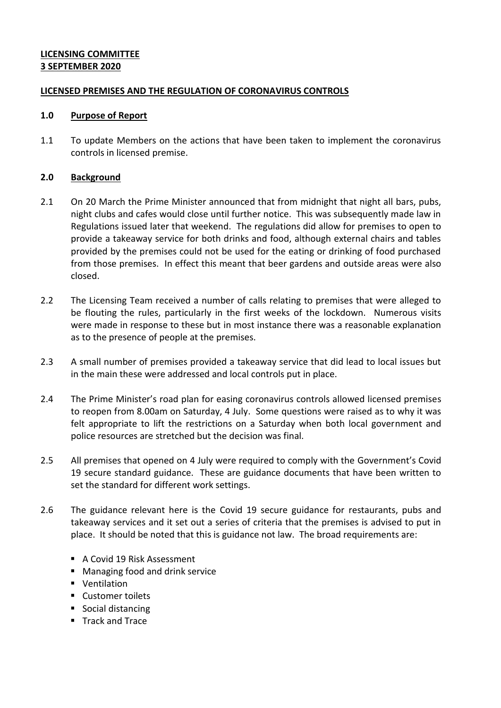# **LICENSING COMMITTEE 3 SEPTEMBER 2020**

## **LICENSED PREMISES AND THE REGULATION OF CORONAVIRUS CONTROLS**

#### **1.0 Purpose of Report**

1.1 To update Members on the actions that have been taken to implement the coronavirus controls in licensed premise.

## **2.0 Background**

- 2.1 On 20 March the Prime Minister announced that from midnight that night all bars, pubs, night clubs and cafes would close until further notice. This was subsequently made law in Regulations issued later that weekend. The regulations did allow for premises to open to provide a takeaway service for both drinks and food, although external chairs and tables provided by the premises could not be used for the eating or drinking of food purchased from those premises. In effect this meant that beer gardens and outside areas were also closed.
- 2.2 The Licensing Team received a number of calls relating to premises that were alleged to be flouting the rules, particularly in the first weeks of the lockdown. Numerous visits were made in response to these but in most instance there was a reasonable explanation as to the presence of people at the premises.
- 2.3 A small number of premises provided a takeaway service that did lead to local issues but in the main these were addressed and local controls put in place.
- 2.4 The Prime Minister's road plan for easing coronavirus controls allowed licensed premises to reopen from 8.00am on Saturday, 4 July. Some questions were raised as to why it was felt appropriate to lift the restrictions on a Saturday when both local government and police resources are stretched but the decision was final.
- 2.5 All premises that opened on 4 July were required to comply with the Government's Covid 19 secure standard guidance. These are guidance documents that have been written to set the standard for different work settings.
- 2.6 The guidance relevant here is the Covid 19 secure guidance for restaurants, pubs and takeaway services and it set out a series of criteria that the premises is advised to put in place. It should be noted that this is guidance not law. The broad requirements are:
	- A Covid 19 Risk Assessment
	- Managing food and drink service
	- **ventilation**
	- Customer toilets
	- Social distancing
	- Track and Trace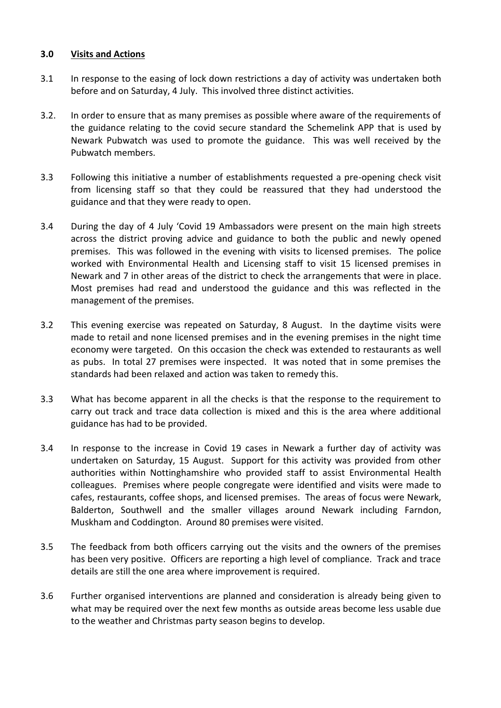## **3.0 Visits and Actions**

- 3.1 In response to the easing of lock down restrictions a day of activity was undertaken both before and on Saturday, 4 July. This involved three distinct activities.
- 3.2. In order to ensure that as many premises as possible where aware of the requirements of the guidance relating to the covid secure standard the Schemelink APP that is used by Newark Pubwatch was used to promote the guidance. This was well received by the Pubwatch members.
- 3.3 Following this initiative a number of establishments requested a pre-opening check visit from licensing staff so that they could be reassured that they had understood the guidance and that they were ready to open.
- 3.4 During the day of 4 July 'Covid 19 Ambassadors were present on the main high streets across the district proving advice and guidance to both the public and newly opened premises. This was followed in the evening with visits to licensed premises. The police worked with Environmental Health and Licensing staff to visit 15 licensed premises in Newark and 7 in other areas of the district to check the arrangements that were in place. Most premises had read and understood the guidance and this was reflected in the management of the premises.
- 3.2 This evening exercise was repeated on Saturday, 8 August. In the daytime visits were made to retail and none licensed premises and in the evening premises in the night time economy were targeted. On this occasion the check was extended to restaurants as well as pubs. In total 27 premises were inspected. It was noted that in some premises the standards had been relaxed and action was taken to remedy this.
- 3.3 What has become apparent in all the checks is that the response to the requirement to carry out track and trace data collection is mixed and this is the area where additional guidance has had to be provided.
- 3.4 In response to the increase in Covid 19 cases in Newark a further day of activity was undertaken on Saturday, 15 August. Support for this activity was provided from other authorities within Nottinghamshire who provided staff to assist Environmental Health colleagues. Premises where people congregate were identified and visits were made to cafes, restaurants, coffee shops, and licensed premises. The areas of focus were Newark, Balderton, Southwell and the smaller villages around Newark including Farndon, Muskham and Coddington. Around 80 premises were visited.
- 3.5 The feedback from both officers carrying out the visits and the owners of the premises has been very positive. Officers are reporting a high level of compliance. Track and trace details are still the one area where improvement is required.
- 3.6 Further organised interventions are planned and consideration is already being given to what may be required over the next few months as outside areas become less usable due to the weather and Christmas party season begins to develop.